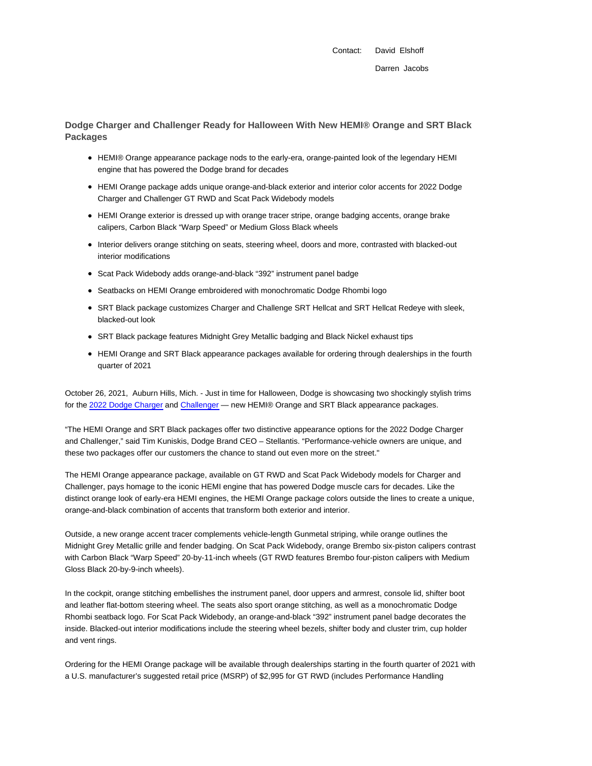Contact: David Elshoff Darren Jacobs

**Dodge Charger and Challenger Ready for Halloween With New HEMI® Orange and SRT Black Packages**

- HEMI® Orange appearance package nods to the early-era, orange-painted look of the legendary HEMI engine that has powered the Dodge brand for decades
- HEMI Orange package adds unique orange-and-black exterior and interior color accents for 2022 Dodge Charger and Challenger GT RWD and Scat Pack Widebody models
- HEMI Orange exterior is dressed up with orange tracer stripe, orange badging accents, orange brake calipers, Carbon Black "Warp Speed" or Medium Gloss Black wheels
- Interior delivers orange stitching on seats, steering wheel, doors and more, contrasted with blacked-out interior modifications
- Scat Pack Widebody adds orange-and-black "392" instrument panel badge
- Seatbacks on HEMI Orange embroidered with monochromatic Dodge Rhombi logo
- SRT Black package customizes Charger and Challenge SRT Hellcat and SRT Hellcat Redeye with sleek, blacked-out look
- SRT Black package features Midnight Grey Metallic badging and Black Nickel exhaust tips
- HEMI Orange and SRT Black appearance packages available for ordering through dealerships in the fourth quarter of 2021

October 26, 2021, Auburn Hills, Mich. - Just in time for Halloween, Dodge is showcasing two shockingly stylish trims for the 2022 Dodge Charger and Challenger — new HEMI® Orange and SRT Black appearance packages.

"The HEMI Orange and SRT Black packages offer two distinctive appearance options for the 2022 Dodge Charger and Challenger," said Tim Kuniskis, Dodge Brand CEO – Stellantis. "Performance-vehicle owners are unique, and these two packages offer our customers the chance to stand out even more on the street."

The HEMI Orange appearance package, available on GT RWD and Scat Pack Widebody models for Charger and Challenger, pays homage to the iconic HEMI engine that has powered Dodge muscle cars for decades. Like the distinct orange look of early-era HEMI engines, the HEMI Orange package colors outside the lines to create a unique, orange-and-black combination of accents that transform both exterior and interior.

Outside, a new orange accent tracer complements vehicle-length Gunmetal striping, while orange outlines the Midnight Grey Metallic grille and fender badging. On Scat Pack Widebody, orange Brembo six-piston calipers contrast with Carbon Black "Warp Speed" 20-by-11-inch wheels (GT RWD features Brembo four-piston calipers with Medium Gloss Black 20-by-9-inch wheels).

In the cockpit, orange stitching embellishes the instrument panel, door uppers and armrest, console lid, shifter boot and leather flat-bottom steering wheel. The seats also sport orange stitching, as well as a monochromatic Dodge Rhombi seatback logo. For Scat Pack Widebody, an orange-and-black "392" instrument panel badge decorates the inside. Blacked-out interior modifications include the steering wheel bezels, shifter body and cluster trim, cup holder and vent rings.

Ordering for the HEMI Orange package will be available through dealerships starting in the fourth quarter of 2021 with a U.S. manufacturer's suggested retail price (MSRP) of \$2,995 for GT RWD (includes Performance Handling